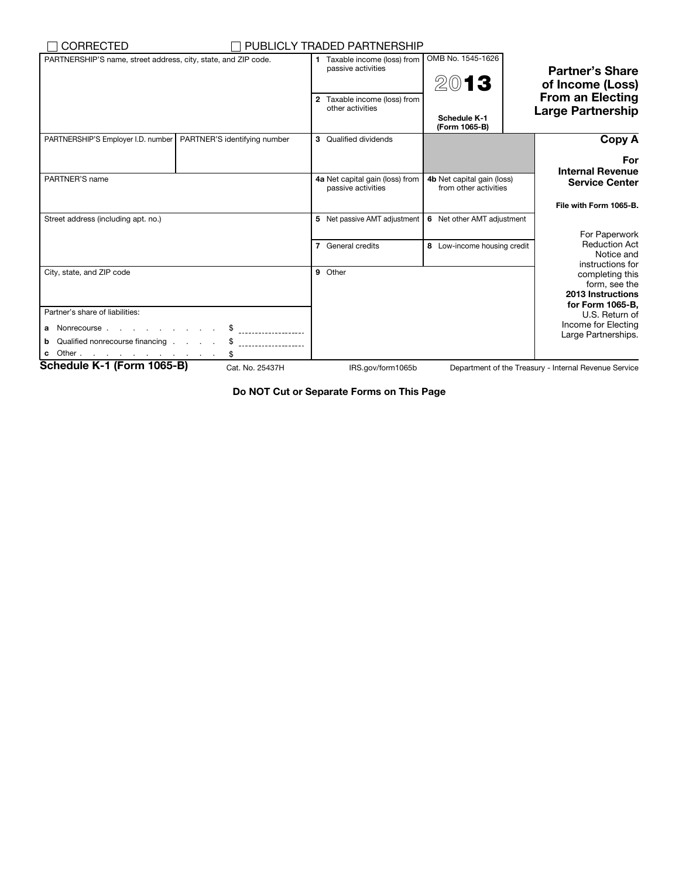| <b>CORRECTED</b>                                                                                                                                                                                                                    |                              | PUBLICLY TRADED PARTNERSHIP                           |                                                       |                                                        |  |
|-------------------------------------------------------------------------------------------------------------------------------------------------------------------------------------------------------------------------------------|------------------------------|-------------------------------------------------------|-------------------------------------------------------|--------------------------------------------------------|--|
| PARTNERSHIP'S name, street address, city, state, and ZIP code.                                                                                                                                                                      |                              | 1 Taxable income (loss) from<br>passive activities    | OMB No. 1545-1626<br>2013                             | <b>Partner's Share</b><br>of Income (Loss)             |  |
|                                                                                                                                                                                                                                     |                              | 2 Taxable income (loss) from<br>other activities      | Schedule K-1<br>(Form 1065-B)                         | <b>From an Electing</b><br><b>Large Partnership</b>    |  |
| PARTNERSHIP'S Employer I.D. number                                                                                                                                                                                                  | PARTNER'S identifying number | 3 Qualified dividends                                 |                                                       | Copy A                                                 |  |
|                                                                                                                                                                                                                                     |                              |                                                       |                                                       | For<br><b>Internal Revenue</b>                         |  |
| PARTNER'S name                                                                                                                                                                                                                      |                              | 4a Net capital gain (loss) from<br>passive activities | 4b Net capital gain (loss)<br>from other activities   | <b>Service Center</b>                                  |  |
|                                                                                                                                                                                                                                     |                              |                                                       |                                                       | File with Form 1065-B.                                 |  |
| Street address (including apt. no.)                                                                                                                                                                                                 |                              | 5 Net passive AMT adjustment                          | 6 Net other AMT adjustment                            | For Paperwork                                          |  |
|                                                                                                                                                                                                                                     |                              | 7 General credits                                     | 8 Low-income housing credit                           | <b>Reduction Act</b><br>Notice and<br>instructions for |  |
| City, state, and ZIP code                                                                                                                                                                                                           |                              | 9 Other                                               | completing this<br>form, see the<br>2013 Instructions |                                                        |  |
| Partner's share of liabilities:                                                                                                                                                                                                     |                              |                                                       |                                                       | for Form 1065-B.<br>U.S. Return of                     |  |
| a Nonrecourse                                                                                                                                                                                                                       |                              |                                                       |                                                       | Income for Electing<br>Large Partnerships.             |  |
| Qualified nonrecourse financing<br>b                                                                                                                                                                                                |                              |                                                       |                                                       |                                                        |  |
| Other expected to the contract of the contract of the contract of the contract of the contract of the contract of the contract of the contract of the contract of the contract of the contract of the contract of the contract<br>c |                              |                                                       |                                                       |                                                        |  |
| Schedule K-1 (Form 1065-B)                                                                                                                                                                                                          | Cat. No. 25437H              | IRS.gov/form1065b                                     |                                                       | Department of the Treasury - Internal Revenue Service  |  |

Do NOT Cut or Separate Forms on This Page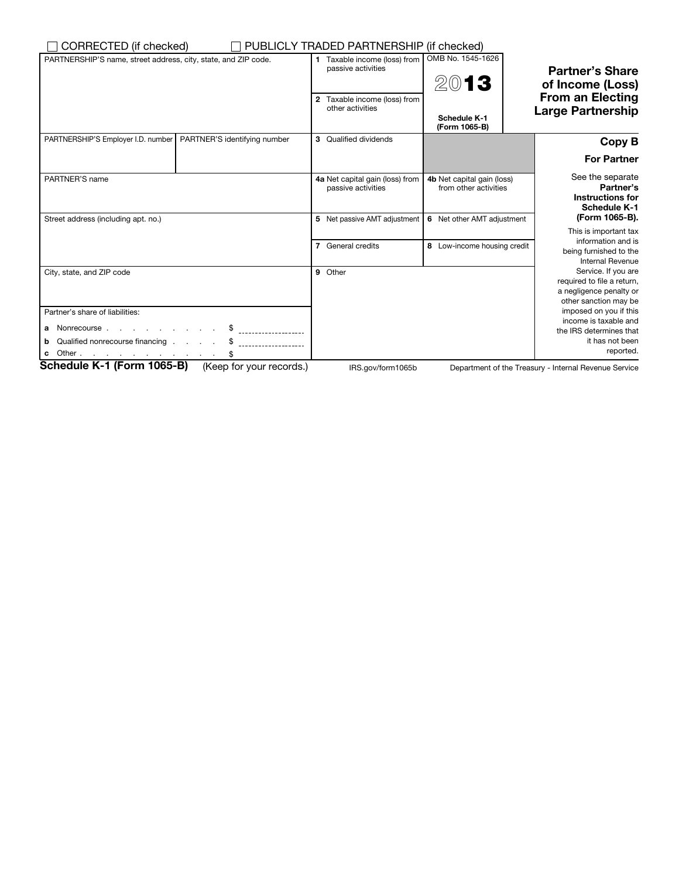| CORRECTED (if checked)                                             | PUBLICLY TRADED PARTNERSHIP (if checked)                                                               |                                                            |                                                                                                       |  |
|--------------------------------------------------------------------|--------------------------------------------------------------------------------------------------------|------------------------------------------------------------|-------------------------------------------------------------------------------------------------------|--|
| PARTNERSHIP'S name, street address, city, state, and ZIP code.     | 1 Taxable income (loss) from<br>passive activities<br>2 Taxable income (loss) from<br>other activities | OMB No. 1545-1626<br>2013<br>Schedule K-1<br>(Form 1065-B) | <b>Partner's Share</b><br>of Income (Loss)<br><b>From an Electing</b><br><b>Large Partnership</b>     |  |
| PARTNER'S identifying number<br>PARTNERSHIP'S Employer I.D. number | 3 Qualified dividends                                                                                  |                                                            | Copy B                                                                                                |  |
|                                                                    |                                                                                                        |                                                            | <b>For Partner</b>                                                                                    |  |
| PARTNER'S name                                                     | 4a Net capital gain (loss) from<br>passive activities                                                  | 4b Net capital gain (loss)<br>from other activities        | See the separate<br>Partner's<br><b>Instructions for</b><br><b>Schedule K-1</b>                       |  |
| Street address (including apt. no.)                                | 5 Net passive AMT adjustment                                                                           | 6 Net other AMT adjustment                                 | (Form 1065-B).                                                                                        |  |
|                                                                    | 7 General credits                                                                                      | 8 Low-income housing credit                                | This is important tax<br>information and is<br>being furnished to the<br><b>Internal Revenue</b>      |  |
| City, state, and ZIP code                                          | 9 Other                                                                                                |                                                            | Service. If you are<br>required to file a return,<br>a negligence penalty or<br>other sanction may be |  |
| Partner's share of liabilities:                                    |                                                                                                        |                                                            | imposed on you if this<br>income is taxable and                                                       |  |
| a Nonrecourse                                                      |                                                                                                        |                                                            | the IRS determines that                                                                               |  |
| <b>b</b> Qualified nonrecourse financing \$                        |                                                                                                        |                                                            | it has not been<br>reported.                                                                          |  |
| Schedule K-1 (Form 1065-B)<br>(Keep for your records.)             | IRS.gov/form1065b                                                                                      |                                                            | Department of the Treasury - Internal Revenue Service                                                 |  |